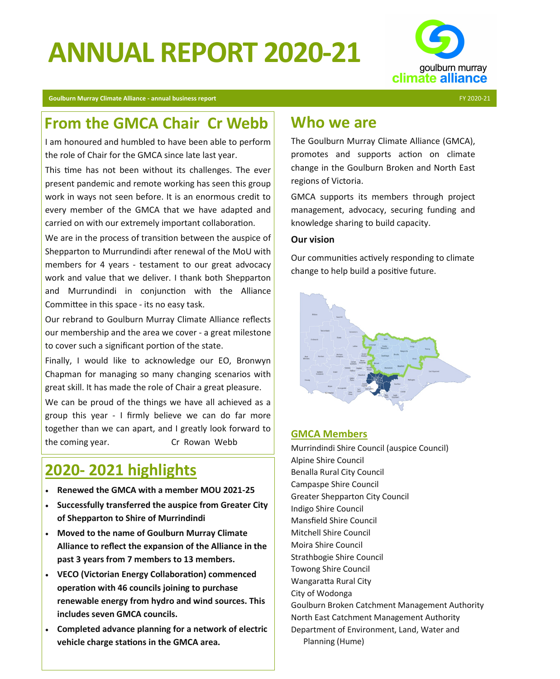# **ANNUAL REPORT 2020-21**



**Goulburn Murray Climate Alliance - annual business report** FY 2020-21

## **From the GMCA Chair Cr Webb**

I am honoured and humbled to have been able to perform the role of Chair for the GMCA since late last year.

This time has not been without its challenges. The ever present pandemic and remote working has seen this group work in ways not seen before. It is an enormous credit to every member of the GMCA that we have adapted and carried on with our extremely important collaboration.

We are in the process of transition between the auspice of Shepparton to Murrundindi after renewal of the MoU with members for 4 years - testament to our great advocacy work and value that we deliver. I thank both Shepparton and Murrundindi in conjunction with the Alliance Committee in this space - its no easy task.

Our rebrand to Goulburn Murray Climate Alliance reflects our membership and the area we cover - a great milestone to cover such a significant portion of the state.

Finally, I would like to acknowledge our EO, Bronwyn Chapman for managing so many changing scenarios with great skill. It has made the role of Chair a great pleasure.

We can be proud of the things we have all achieved as a group this year - I firmly believe we can do far more together than we can apart, and I greatly look forward to the coming year. Cr Rowan Webb

## **2020- 2021 highlights**

- **Renewed the GMCA with a member MOU 2021-25**
- **Successfully transferred the auspice from Greater City of Shepparton to Shire of Murrindindi**
- **Moved to the name of Goulburn Murray Climate Alliance to reflect the expansion of the Alliance in the past 3 years from 7 members to 13 members.**
- **VECO (Victorian Energy Collaboration) commenced operation with 46 councils joining to purchase renewable energy from hydro and wind sources. This includes seven GMCA councils.**
- **Completed advance planning for a network of electric vehicle charge stations in the GMCA area.**

### **Who we are**

The Goulburn Murray Climate Alliance (GMCA), promotes and supports action on climate change in the Goulburn Broken and North East regions of Victoria.

GMCA supports its members through project management, advocacy, securing funding and knowledge sharing to build capacity.

#### **Our vision**

Our communities actively responding to climate change to help build a positive future.



#### **GMCA Members**

Murrindindi Shire Council (auspice Council) Alpine Shire Council Benalla Rural City Council Campaspe Shire Council Greater Shepparton City Council Indigo Shire Council Mansfield Shire Council Mitchell Shire Council Moira Shire Council Strathbogie Shire Council Towong Shire Council Wangaratta Rural City City of Wodonga Goulburn Broken Catchment Management Authority North East Catchment Management Authority Department of Environment, Land, Water and Planning (Hume)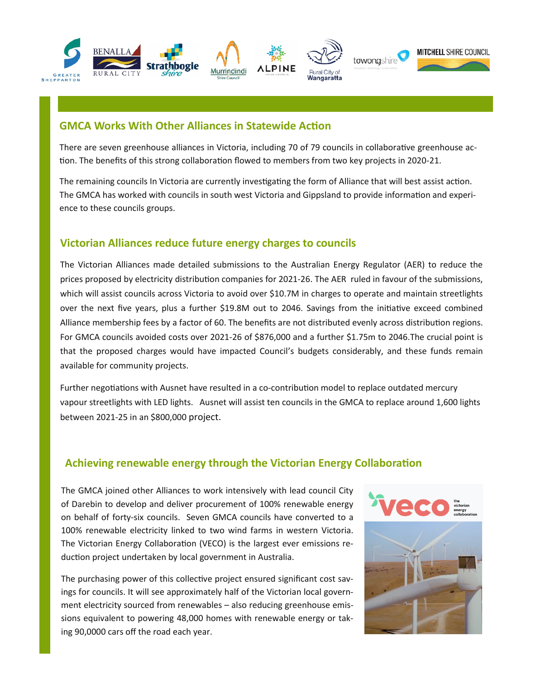

#### **GMCA Works With Other Alliances in Statewide Action**

There are seven greenhouse alliances in Victoria, including 70 of 79 councils in collaborative greenhouse action. The benefits of this strong collaboration flowed to members from two key projects in 2020-21.

The remaining councils In Victoria are currently investigating the form of Alliance that will best assist action. The GMCA has worked with councils in south west Victoria and Gippsland to provide information and experience to these councils groups.

#### **Victorian Alliances reduce future energy charges to councils**

The Victorian Alliances made detailed submissions to the Australian Energy Regulator (AER) to reduce the prices proposed by electricity distribution companies for 2021-26. The AER ruled in favour of the submissions, which will assist councils across Victoria to avoid over \$10.7M in charges to operate and maintain streetlights over the next five years, plus a further \$19.8M out to 2046. Savings from the initiative exceed combined Alliance membership fees by a factor of 60. The benefits are not distributed evenly across distribution regions. For GMCA councils avoided costs over 2021-26 of \$876,000 and a further \$1.75m to 2046.The crucial point is that the proposed charges would have impacted Council's budgets considerably, and these funds remain available for community projects.

Further negotiations with Ausnet have resulted in a co-contribution model to replace outdated mercury vapour streetlights with LED lights. Ausnet will assist ten councils in the GMCA to replace around 1,600 lights between 2021-25 in an \$800,000 project.

#### **Achieving renewable energy through the Victorian Energy Collaboration**

The GMCA joined other Alliances to work intensively with lead council City of Darebin to develop and deliver procurement of 100% renewable energy on behalf of forty-six councils. Seven GMCA councils have converted to a 100% renewable electricity linked to two wind farms in western Victoria. The Victorian Energy Collaboration (VECO) is the largest ever emissions reduction project undertaken by local government in Australia.

The purchasing power of this collective project ensured significant cost savings for councils. It will see approximately half of the Victorian local government electricity sourced from renewables – also reducing greenhouse emissions equivalent to powering 48,000 homes with renewable energy or taking 90,0000 cars off the road each year.

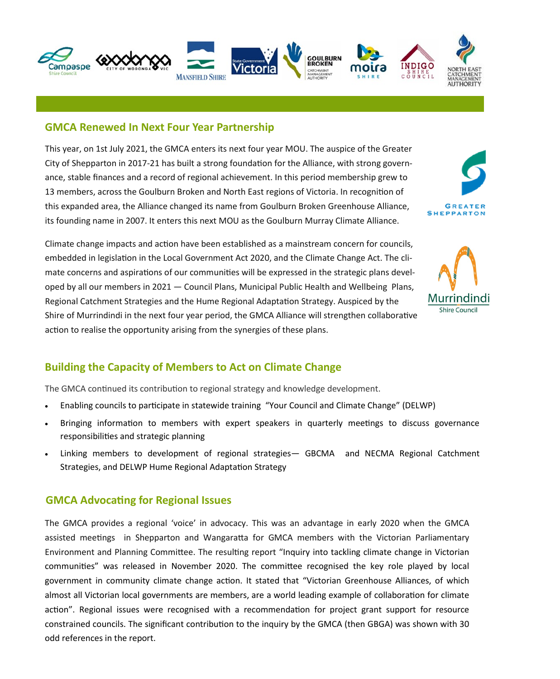

#### **GMCA Renewed In Next Four Year Partnership**

This year, on 1st July 2021, the GMCA enters its next four year MOU. The auspice of the Greater City of Shepparton in 2017-21 has built a strong foundation for the Alliance, with strong governance, stable finances and a record of regional achievement. In this period membership grew to 13 members, across the Goulburn Broken and North East regions of Victoria. In recognition of this expanded area, the Alliance changed its name from Goulburn Broken Greenhouse Alliance, its founding name in 2007. It enters this next MOU as the Goulburn Murray Climate Alliance.



Climate change impacts and action have been established as a mainstream concern for councils, embedded in legislation in the Local Government Act 2020, and the Climate Change Act. The climate concerns and aspirations of our communities will be expressed in the strategic plans developed by all our members in 2021 — Council Plans, Municipal Public Health and Wellbeing Plans, Regional Catchment Strategies and the Hume Regional Adaptation Strategy. Auspiced by the Shire of Murrindindi in the next four year period, the GMCA Alliance will strengthen collaborative action to realise the opportunity arising from the synergies of these plans.



#### **Building the Capacity of Members to Act on Climate Change**

The GMCA continued its contribution to regional strategy and knowledge development.

- Enabling councils to participate in statewide training "Your Council and Climate Change" (DELWP)
- Bringing information to members with expert speakers in quarterly meetings to discuss governance responsibilities and strategic planning
- Linking members to development of regional strategies— GBCMA and NECMA Regional Catchment Strategies, and DELWP Hume Regional Adaptation Strategy

#### **GMCA Advocating for Regional Issues**

The GMCA provides a regional 'voice' in advocacy. This was an advantage in early 2020 when the GMCA assisted meetings in Shepparton and Wangaratta for GMCA members with the Victorian Parliamentary Environment and Planning Committee. The resulting report "Inquiry into tackling climate change in Victorian communities" was released in November 2020. The committee recognised the key role played by local government in community climate change action. It stated that "Victorian Greenhouse Alliances, of which almost all Victorian local governments are members, are a world leading example of collaboration for climate action". Regional issues were recognised with a recommendation for project grant support for resource constrained councils. The significant contribution to the inquiry by the GMCA (then GBGA) was shown with 30 odd references in the report.